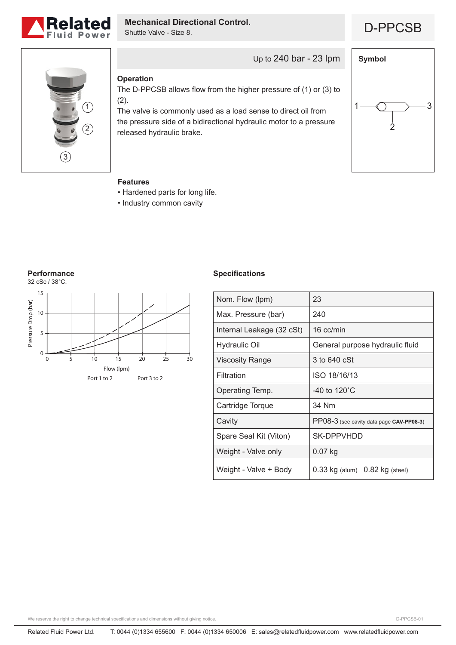

# **Mechanical Directional Control.**<br> **D-PPCSB**

Shuttle Valve - Size 8.



## **Operation**

The D-PPCSB allows flow from the higher pressure of (1) or (3) to (2).

Up to 240 bar - 23 lpm

The valve is commonly used as a load sense to direct oil from the pressure side of a bidirectional hydraulic motor to a pressure released hydraulic brake.



### **Features**

- Hardened parts for long life.
- Industry common cavity

#### **Performance**



#### **Specifications**

| Nom. Flow (lpm)           | 23                                       |
|---------------------------|------------------------------------------|
| Max. Pressure (bar)       | 240                                      |
| Internal Leakage (32 cSt) | 16 cc/min                                |
| Hydraulic Oil             | General purpose hydraulic fluid          |
| <b>Viscosity Range</b>    | 3 to 640 cSt                             |
| Filtration                | ISO 18/16/13                             |
| Operating Temp.           | -40 to 120 $^{\circ}$ C                  |
| Cartridge Torque          | 34 Nm                                    |
| Cavity                    | PP08-3 (see cavity data page CAV-PP08-3) |
| Spare Seal Kit (Viton)    | SK-DPPVHDD                               |
| Weight - Valve only       | $0.07$ kg                                |
| Weight - Valve + Body     | $0.33$ kg (alum) $0.82$ kg (steel)       |

We reserve the right to change technical specifications and dimensions without giving notice.